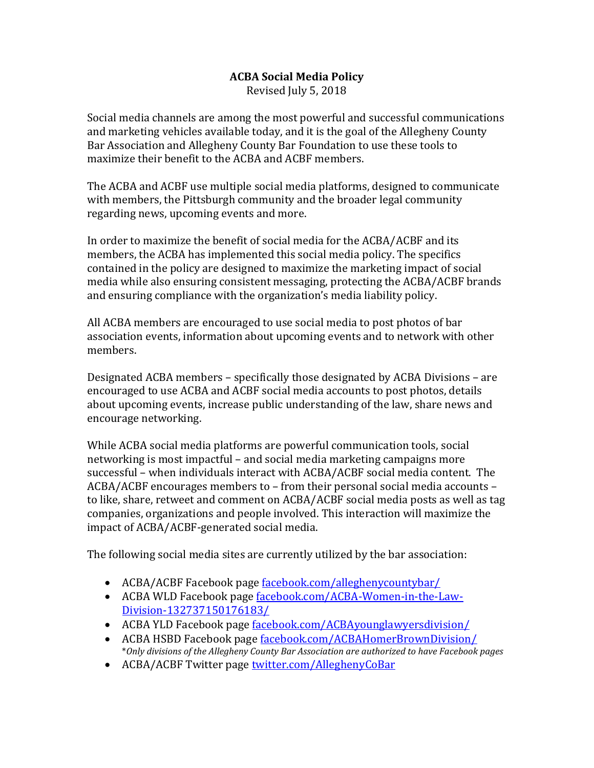## **ACBA Social Media Policy** Revised July 5, 2018

Social media channels are among the most powerful and successful communications and marketing vehicles available today, and it is the goal of the Allegheny County Bar Association and Allegheny County Bar Foundation to use these tools to maximize their benefit to the ACBA and ACBF members.

The ACBA and ACBF use multiple social media platforms, designed to communicate with members, the Pittsburgh community and the broader legal community regarding news, upcoming events and more.

In order to maximize the benefit of social media for the ACBA/ACBF and its members, the ACBA has implemented this social media policy. The specifics contained in the policy are designed to maximize the marketing impact of social media while also ensuring consistent messaging, protecting the ACBA/ACBF brands and ensuring compliance with the organization's media liability policy.

All ACBA members are encouraged to use social media to post photos of bar association events, information about upcoming events and to network with other members.

Designated ACBA members – specifically those designated by ACBA Divisions – are encouraged to use ACBA and ACBF social media accounts to post photos, details about upcoming events, increase public understanding of the law, share news and encourage networking.

While ACBA social media platforms are powerful communication tools, social networking is most impactful – and social media marketing campaigns more successful – when individuals interact with ACBA/ACBF social media content. The ACBA/ACBF encourages members to – from their personal social media accounts – to like, share, retweet and comment on ACBA/ACBF social media posts as well as tag companies, organizations and people involved. This interaction will maximize the impact of ACBA/ACBF-generated social media.

The following social media sites are currently utilized by the bar association:

- ACBA/ACBF Facebook page [facebook.com/alleghenycountybar/](https://www.facebook.com/alleghenycountybar/)
- ACBA WLD Facebook page [facebook.com/ACBA-Women-in-the-Law-](https://www.facebook.com/ACBA-Women-in-the-Law-Division-132737150176183/)[Division-132737150176183/](https://www.facebook.com/ACBA-Women-in-the-Law-Division-132737150176183/)
- ACBA YLD Facebook page [facebook.com/ACBAyounglawyersdivision/](https://www.facebook.com/ACBAyounglawyersdivision/)
- ACBA HSBD Facebook page [facebook.com/ACBAHomerBrownDivision/](https://www.facebook.com/ACBAHomerBrownDivision/) \**Only divisions of the Allegheny County Bar Association are authorized to have Facebook pages*
- ACBA/ACBF Twitter page [twitter.com/AlleghenyCoBar](https://twitter.com/AlleghenyCoBar)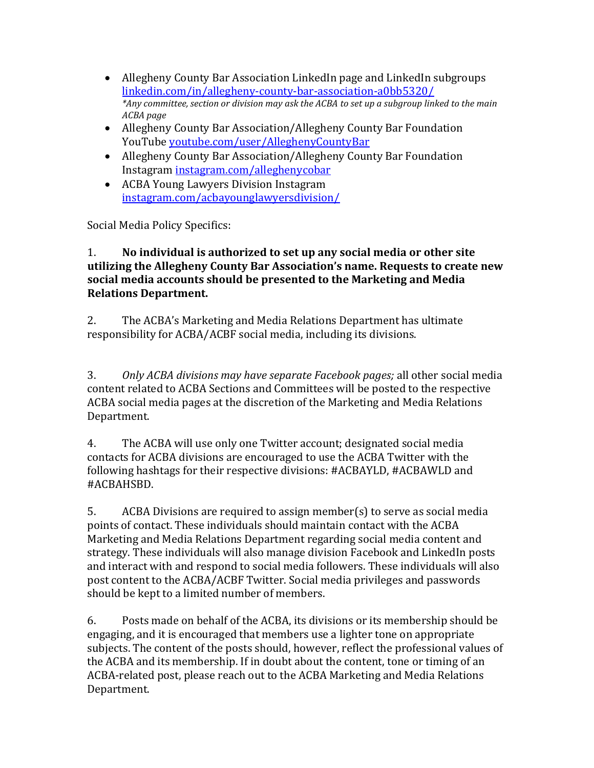- Allegheny County Bar Association LinkedIn page and LinkedIn subgroups [linkedin.com/in/allegheny-county-bar-association-a0bb5320/](https://www.linkedin.com/in/allegheny-county-bar-association-a0bb5320/) *\*Any committee, section or division may ask the ACBA to set up a subgroup linked to the main ACBA page*
- Allegheny County Bar Association/Allegheny County Bar Foundation YouTube [youtube.com/user/AlleghenyCountyBar](https://www.youtube.com/user/AlleghenyCountyBar)
- Allegheny County Bar Association/Allegheny County Bar Foundation Instagram [instagram.com/alleghenycobar](https://www.instagram.com/alleghenycobar)
- ACBA Young Lawyers Division Instagram [instagram.com/acbayounglawyersdivision/](https://www.instagram.com/acbayounglawyersdivision/)

Social Media Policy Specifics:

## 1. **No individual is authorized to set up any social media or other site utilizing the Allegheny County Bar Association's name. Requests to create new social media accounts should be presented to the Marketing and Media Relations Department.**

2. The ACBA's Marketing and Media Relations Department has ultimate responsibility for ACBA/ACBF social media, including its divisions.

3. *Only ACBA divisions may have separate Facebook pages;* all other social media content related to ACBA Sections and Committees will be posted to the respective ACBA social media pages at the discretion of the Marketing and Media Relations Department.

4. The ACBA will use only one Twitter account; designated social media contacts for ACBA divisions are encouraged to use the ACBA Twitter with the following hashtags for their respective divisions: #ACBAYLD, #ACBAWLD and #ACBAHSBD.

5. ACBA Divisions are required to assign member(s) to serve as social media points of contact. These individuals should maintain contact with the ACBA Marketing and Media Relations Department regarding social media content and strategy. These individuals will also manage division Facebook and LinkedIn posts and interact with and respond to social media followers. These individuals will also post content to the ACBA/ACBF Twitter. Social media privileges and passwords should be kept to a limited number of members.

6. Posts made on behalf of the ACBA, its divisions or its membership should be engaging, and it is encouraged that members use a lighter tone on appropriate subjects. The content of the posts should, however, reflect the professional values of the ACBA and its membership. If in doubt about the content, tone or timing of an ACBA-related post, please reach out to the ACBA Marketing and Media Relations Department.